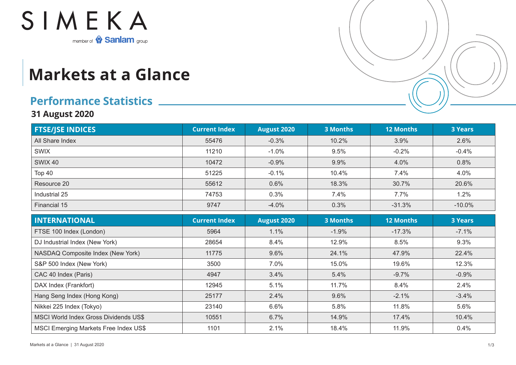

## **Markets at a Glance**

## **Performance Statistics**

## **31 August 2020**

| <b>FTSE/JSE INDICES</b>               | <b>Current Index</b> | <b>August 2020</b> | <b>3 Months</b> | <b>12 Months</b> | <b>3 Years</b> |
|---------------------------------------|----------------------|--------------------|-----------------|------------------|----------------|
| All Share Index                       | 55476                | $-0.3%$            | 10.2%           | 3.9%             | 2.6%           |
| <b>SWIX</b>                           | 11210                | $-1.0%$            | 9.5%            | $-0.2%$          | $-0.4%$        |
| <b>SWIX 40</b>                        | 10472                | $-0.9%$            | 9.9%            | 4.0%             | 0.8%           |
| Top 40                                | 51225                | $-0.1%$            | 10.4%           | 7.4%             | 4.0%           |
| Resource 20                           | 55612                | 0.6%               | 18.3%           | 30.7%            | 20.6%          |
| Industrial 25                         | 74753                | 0.3%               | 7.4%            | 7.7%             | 1.2%           |
| Financial 15                          | 9747                 | $-4.0%$            | 0.3%            | $-31.3%$         | $-10.0%$       |
| <b>INTERNATIONAL</b>                  | <b>Current Index</b> | <b>August 2020</b> | <b>3 Months</b> | <b>12 Months</b> | <b>3 Years</b> |
| FTSE 100 Index (London)               | 5964                 | 1.1%               | $-1.9%$         | $-17.3%$         | $-7.1%$        |
| DJ Industrial Index (New York)        | 28654                | 8.4%               | 12.9%           | 8.5%             | 9.3%           |
| NASDAQ Composite Index (New York)     | 11775                | 9.6%               | 24.1%           | 47.9%            | 22.4%          |
| S&P 500 Index (New York)              | 3500                 | 7.0%               | 15.0%           | 19.6%            | 12.3%          |
| CAC 40 Index (Paris)                  | 4947                 | 3.4%               | 5.4%            | $-9.7%$          | $-0.9%$        |
| DAX Index (Frankfort)                 | 12945                | 5.1%               | 11.7%           | 8.4%             | 2.4%           |
| Hang Seng Index (Hong Kong)           | 25177                | 2.4%               | 9.6%            | $-2.1%$          | $-3.4%$        |
| Nikkei 225 Index (Tokyo)              | 23140                | 6.6%               | 5.8%            | 11.8%            | 5.6%           |
| MSCI World Index Gross Dividends US\$ | 10551                | 6.7%               | 14.9%           | 17.4%            | 10.4%          |
| MSCI Emerging Markets Free Index US\$ | 1101                 | 2.1%               | 18.4%           | 11.9%            | 0.4%           |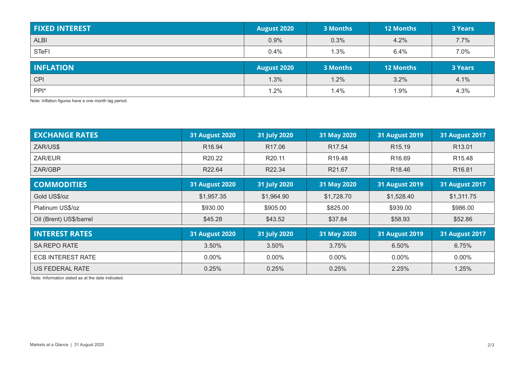| <b>FIXED INTEREST</b> | <b>August 2020</b> | 3 Months | <b>12 Months</b> | <b>3 Years</b> |
|-----------------------|--------------------|----------|------------------|----------------|
| <b>ALBI</b>           | 0.9%               | 0.3%     | 4.2%             | 7.7%           |
| <b>STeFI</b>          | 0.4%               | .3%      | 6.4%             | 7.0%           |
|                       |                    |          |                  |                |
| <b>INFLATION</b>      | <b>August 2020</b> | 3 Months | <b>12 Months</b> | <b>3 Years</b> |
| <b>CPI</b>            | 1.3%               | 1.2%     | 3.2%             | 4.1%           |

Note: Inflation figures have a one month lag period.

| <b>EXCHANGE RATES</b>    | <b>31 August 2020</b> | 31 July 2020       | 31 May 2020        | <b>31 August 2019</b> | <b>31 August 2017</b> |
|--------------------------|-----------------------|--------------------|--------------------|-----------------------|-----------------------|
| ZAR/US\$                 | R <sub>16.94</sub>    | R <sub>17.06</sub> | R <sub>17.54</sub> | R <sub>15.19</sub>    | R13.01                |
| ZAR/EUR                  | R <sub>20.22</sub>    | R <sub>20.11</sub> | R <sub>19.48</sub> | R <sub>16.69</sub>    | R <sub>15.48</sub>    |
| ZAR/GBP                  | R22.64                | R22.34             | R21.67             | R <sub>18.46</sub>    | R <sub>16.81</sub>    |
| <b>COMMODITIES</b>       | <b>31 August 2020</b> | 31 July 2020       | 31 May 2020        | <b>31 August 2019</b> | <b>31 August 2017</b> |
| Gold US\$/oz             | \$1,957.35            | \$1,964.90         | \$1,728.70         | \$1,528.40            | \$1,311.75            |
| Platinum US\$/oz         | \$930.00              | \$905.00           | \$825.00           | \$939.00              | \$986.00              |
| Oil (Brent) US\$/barrel  | \$45.28               | \$43.52            | \$37.84            | \$58.93               | \$52.86               |
| <b>INTEREST RATES</b>    | <b>31 August 2020</b> | 31 July 2020       | 31 May 2020        | <b>31 August 2019</b> | <b>31 August 2017</b> |
| SA REPO RATE             | 3.50%                 | 3.50%              | 3.75%              | 6.50%                 | 6.75%                 |
| <b>ECB INTEREST RATE</b> | $0.00\%$              | $0.00\%$           | $0.00\%$           | $0.00\%$              | $0.00\%$              |
| US FEDERAL RATE          | 0.25%                 | 0.25%              | 0.25%              | 2.25%                 | 1.25%                 |

Note: Information stated as at the date indicated.